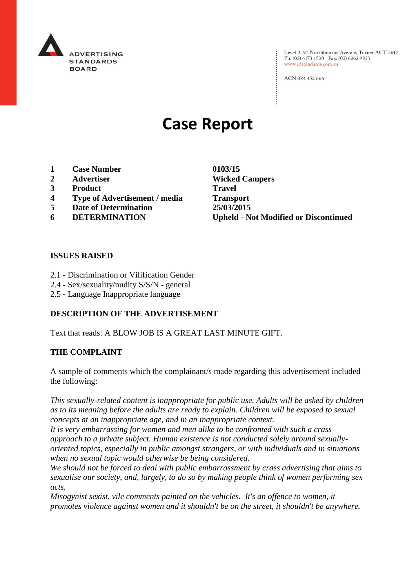

Level 2, 97 Northbourne Avenue, Turner ACT 2612 Ph: (02) 6173 1500 | Fax: (02) 6262 9833 www.adstandards.com.au

ACN 084 452 666

# **Case Report**

- **1 Case Number 0103/15**
- 
- **3 Product Travel**
- **4 Type of Advertisement / media Transport**
- **5 Date of Determination 25/03/2015**
- 

**2 Advertiser Wicked Campers 6 DETERMINATION Upheld - Not Modified or Discontinued**

 $\vdots$ 

#### **ISSUES RAISED**

- 2.1 Discrimination or Vilification Gender
- 2.4 Sex/sexuality/nudity S/S/N general
- 2.5 Language Inappropriate language

#### **DESCRIPTION OF THE ADVERTISEMENT**

Text that reads: A BLOW JOB IS A GREAT LAST MINUTE GIFT.

#### **THE COMPLAINT**

A sample of comments which the complainant/s made regarding this advertisement included the following:

*This sexually-related content is inappropriate for public use. Adults will be asked by children as to its meaning before the adults are ready to explain. Children will be exposed to sexual concepts at an inappropriate age, and in an inappropriate context.*

*It is very embarrassing for women and men alike to be confronted with such a crass approach to a private subject. Human existence is not conducted solely around sexuallyoriented topics, especially in public amongst strangers, or with individuals and in situations when no sexual topic would otherwise be being considered.*

*We should not be forced to deal with public embarrassment by crass advertising that aims to sexualise our society, and, largely, to do so by making people think of women performing sex acts.*

*Misogynist sexist, vile comments painted on the vehicles. It's an offence to women, it promotes violence against women and it shouldn't be on the street, it shouldn't be anywhere.*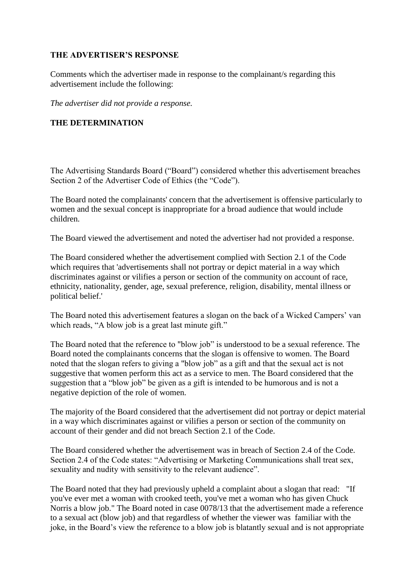## **THE ADVERTISER'S RESPONSE**

Comments which the advertiser made in response to the complainant/s regarding this advertisement include the following:

*The advertiser did not provide a response.*

## **THE DETERMINATION**

The Advertising Standards Board ("Board") considered whether this advertisement breaches Section 2 of the Advertiser Code of Ethics (the "Code").

The Board noted the complainants' concern that the advertisement is offensive particularly to women and the sexual concept is inappropriate for a broad audience that would include children.

The Board viewed the advertisement and noted the advertiser had not provided a response.

The Board considered whether the advertisement complied with Section 2.1 of the Code which requires that 'advertisements shall not portray or depict material in a way which discriminates against or vilifies a person or section of the community on account of race, ethnicity, nationality, gender, age, sexual preference, religion, disability, mental illness or political belief.'

The Board noted this advertisement features a slogan on the back of a Wicked Campers' van which reads, "A blow job is a great last minute gift."

The Board noted that the reference to "blow job" is understood to be a sexual reference. The Board noted the complainants concerns that the slogan is offensive to women. The Board noted that the slogan refers to giving a "blow job" as a gift and that the sexual act is not suggestive that women perform this act as a service to men. The Board considered that the suggestion that a "blow job" be given as a gift is intended to be humorous and is not a negative depiction of the role of women.

The majority of the Board considered that the advertisement did not portray or depict material in a way which discriminates against or vilifies a person or section of the community on account of their gender and did not breach Section 2.1 of the Code.

The Board considered whether the advertisement was in breach of Section 2.4 of the Code. Section 2.4 of the Code states: "Advertising or Marketing Communications shall treat sex, sexuality and nudity with sensitivity to the relevant audience".

The Board noted that they had previously upheld a complaint about a slogan that read: "If you've ever met a woman with crooked teeth, you've met a woman who has given Chuck Norris a blow job." The Board noted in case 0078/13 that the advertisement made a reference to a sexual act (blow job) and that regardless of whether the viewer was familiar with the joke, in the Board's view the reference to a blow job is blatantly sexual and is not appropriate